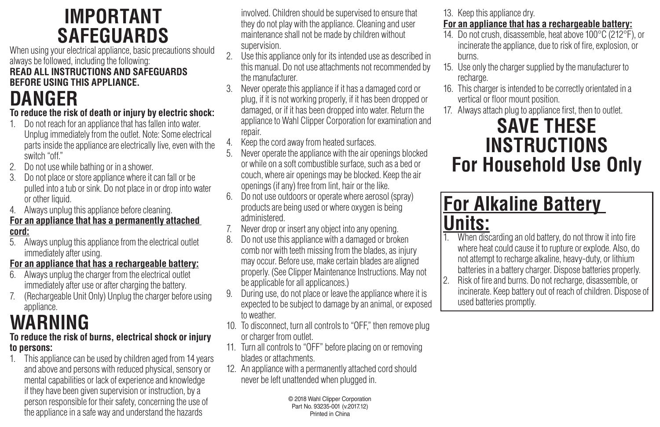### **IMPORTANT SAFEGUARDS**

When using your electrical appliance, basic precautions should always be followed, including the following:

#### **READ ALL INSTRUCTIONS AND SAFEGUARDS BEFORE USING THIS APPLIANCE.**

# **DANGER**

### **To reduce the risk of death or injury by electric shock:**

- 1. Do not reach for an appliance that has fallen into water. Unplug immediately from the outlet. Note: Some electrical parts inside the appliance are electrically live, even with the switch "off."
- 2. Do not use while bathing or in a shower.
- 3. Do not place or store appliance where it can fall or be pulled into a tub or sink. Do not place in or drop into water or other liquid.
- 4. Always unplug this appliance before cleaning.

#### **For an appliance that has a permanently attached cord:**

5. Always unplug this appliance from the electrical outlet immediately after using.

### **For an appliance that has a rechargeable battery:**

- 6. Always unplug the charger from the electrical outlet immediately after use or after charging the battery.
- 7. (Rechargeable Unit Only) Unplug the charger before using appliance.

# **WARNING**

#### **To reduce the risk of burns, electrical shock or injury to persons:**

1. This appliance can be used by children aged from 14 years and above and persons with reduced physical, sensory or mental capabilities or lack of experience and knowledge if they have been given supervision or instruction, by a person responsible for their safety, concerning the use of the appliance in a safe way and understand the hazards

involved. Children should be supervised to ensure that they do not play with the appliance. Cleaning and user maintenance shall not be made by children without supervision.

- 2. Use this appliance only for its intended use as described in this manual. Do not use attachments not recommended by the manufacturer.
- 3. Never operate this appliance if it has a damaged cord or plug, if it is not working properly, if it has been dropped or damaged, or if it has been dropped into water. Return the appliance to Wahl Clipper Corporation for examination and repair.
- 4. Keep the cord away from heated surfaces.<br>5. Never operate the appliance with the air or
- 5. Never operate the appliance with the air openings blocked or while on a soft combustible surface, such as a bed or couch, where air openings may be blocked. Keep the air openings (ifany) free from lint, hair or the like.
- 6. Do not use outdoors or operate where aerosol (spray) products are being used or where oxygen is being administered.
- Never drop or insert any object into any opening.
- 8. Do not use this appliance with a damaged or broken comb nor with teeth missing from the blades, as injury may occur. Before use, make certain blades are aligned properly. (See Clipper Maintenance Instructions. May not be applicable for all applicances.)
- 9. During use, do not place or leave the appliance where it is expected to be subject to damage by an animal, or exposed to weather.
- 10. To disconnect, turn all controls to "OFF," then remove plug or charger from outlet.
- 11. Turn all controls to "OFF" before placing on or removing blades or attachments.
- 12. An appliance with a permanently attached cord should never be left unattended when plugged in.

© 2018 Wahl Clipper Corporation Part No. 93235-001 (v.2017.12) Printed in China

13. Keep this appliance dry.

### **For an appliance that has a rechargeable battery:**

- 14. Do not crush, disassemble, heat above 100°C (212°F), or incinerate the appliance, due to risk of fire, explosion, or burns.
- 15. Use only the charger supplied by the manufacturer to recharge.
- 16. This charger is intended to be correctly orientated in a vertical or floor mount position.
- 17. Always attach plug to appliance first, then to outlet.

### **SAVE THESE INSTRUCTIONS For Household Use Only**

## **For Alkaline Battery Units:**

- 1. When discarding an old battery, do not throw it into fire where heat could cause it to rupture or explode. Also, do not attempt to recharge alkaline, heavy-duty, or lithium batteries in a battery charger. Dispose batteries properly.
- 2. Risk of fire and burns. Do not recharge, disassemble, or incinerate. Keep battery out of reach of children. Dispose of used batteries promptly.